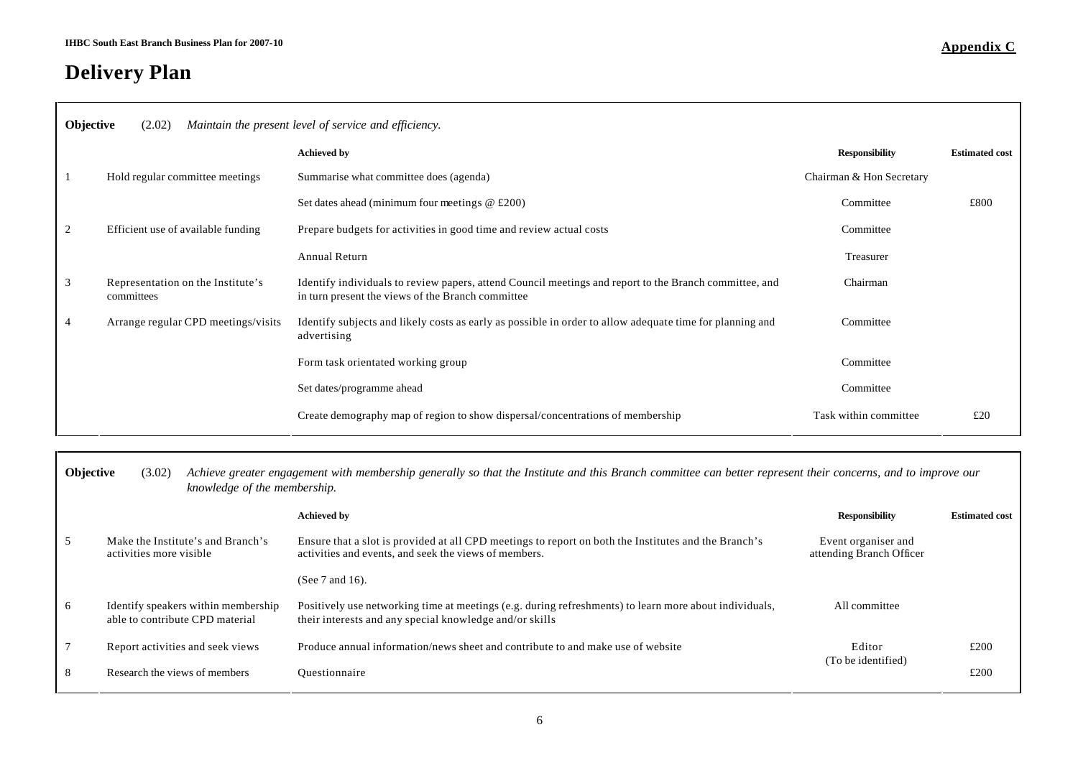## **Delivery Plan**

|                | <b>Objective</b><br>(2.02)<br>Maintain the present level of service and efficiency. |                                                                                                                                                             |                          |                       |
|----------------|-------------------------------------------------------------------------------------|-------------------------------------------------------------------------------------------------------------------------------------------------------------|--------------------------|-----------------------|
|                |                                                                                     | <b>Achieved by</b>                                                                                                                                          | <b>Responsibility</b>    | <b>Estimated cost</b> |
| -1             | Hold regular committee meetings                                                     | Summarise what committee does (agenda)                                                                                                                      | Chairman & Hon Secretary |                       |
|                |                                                                                     | Set dates ahead (minimum four meetings $@f200$ )                                                                                                            | Committee                | £800                  |
| 2              | Efficient use of available funding                                                  | Prepare budgets for activities in good time and review actual costs                                                                                         | Committee                |                       |
|                |                                                                                     | <b>Annual Return</b>                                                                                                                                        | Treasurer                |                       |
| 3              | Representation on the Institute's<br>committees                                     | Identify individuals to review papers, attend Council meetings and report to the Branch committee, and<br>in turn present the views of the Branch committee | Chairman                 |                       |
| $\overline{4}$ | Arrange regular CPD meetings/visits                                                 | Identify subjects and likely costs as early as possible in order to allow adequate time for planning and<br>advertising                                     | Committee                |                       |
|                |                                                                                     | Form task orientated working group                                                                                                                          | Committee                |                       |
|                |                                                                                     | Set dates/programme ahead                                                                                                                                   | Committee                |                       |
|                |                                                                                     | Create demography map of region to show dispersal/concentrations of membership                                                                              | Task within committee    | £20                   |

| Objective | (3.02)<br>knowledge of the membership.                                 | Achieve greater engagement with membership generally so that the Institute and this Branch committee can better represent their concerns, and to improve our      |                                                 |                       |
|-----------|------------------------------------------------------------------------|-------------------------------------------------------------------------------------------------------------------------------------------------------------------|-------------------------------------------------|-----------------------|
|           |                                                                        | <b>Achieved by</b>                                                                                                                                                | <b>Responsibility</b>                           | <b>Estimated cost</b> |
| 5         | Make the Institute's and Branch's<br>activities more visible           | Ensure that a slot is provided at all CPD meetings to report on both the Institutes and the Branch's<br>activities and events, and seek the views of members.     | Event organiser and<br>attending Branch Officer |                       |
|           |                                                                        | (See $7$ and 16).                                                                                                                                                 |                                                 |                       |
| 6         | Identify speakers within membership<br>able to contribute CPD material | Positively use networking time at meetings (e.g. during refreshments) to learn more about individuals,<br>their interests and any special knowledge and/or skills | All committee                                   |                       |
|           | Report activities and seek views                                       | Produce annual information/news sheet and contribute to and make use of website                                                                                   | Editor<br>(To be identified)                    | £200                  |
| 8         | Research the views of members                                          | Ouestionnaire                                                                                                                                                     |                                                 | £200                  |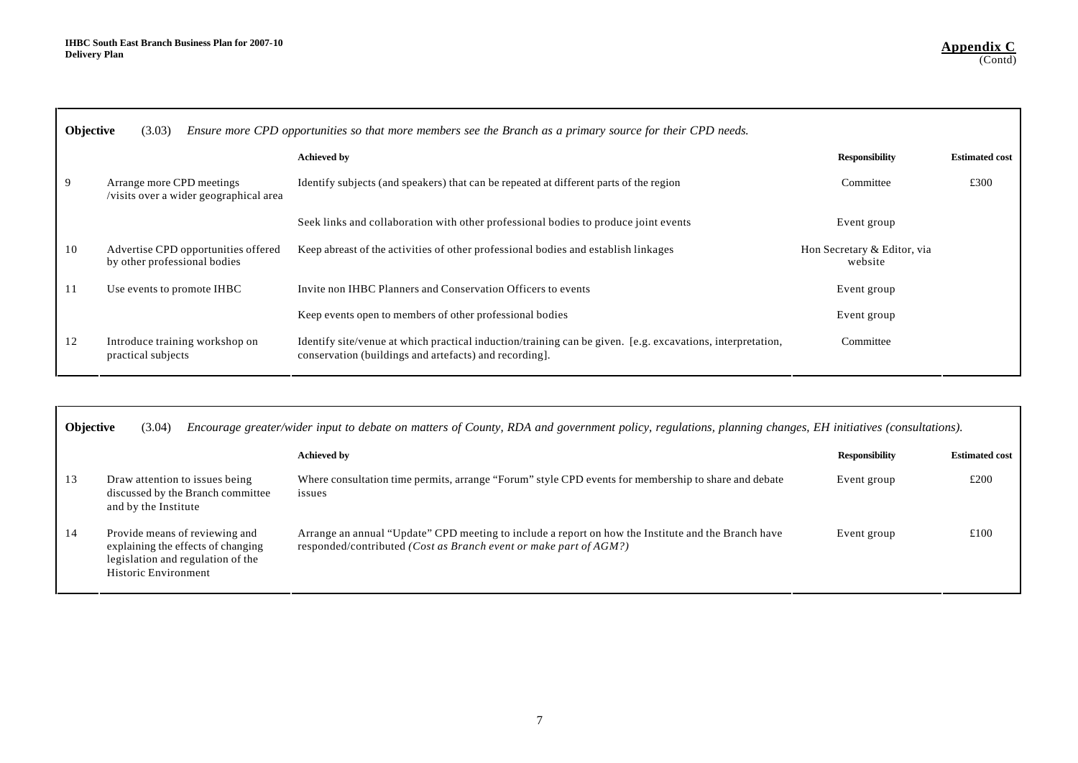|    | <b>Objective</b><br>(3.03)<br>Ensure more CPD opportunities so that more members see the Branch as a primary source for their CPD needs. |                                                                                                                                                                     |                                        |                       |  |
|----|------------------------------------------------------------------------------------------------------------------------------------------|---------------------------------------------------------------------------------------------------------------------------------------------------------------------|----------------------------------------|-----------------------|--|
|    |                                                                                                                                          | <b>Achieved by</b>                                                                                                                                                  | <b>Responsibility</b>                  | <b>Estimated cost</b> |  |
| 9  | Arrange more CPD meetings<br>/visits over a wider geographical area                                                                      | Identify subjects (and speakers) that can be repeated at different parts of the region                                                                              | Committee                              | £300                  |  |
|    |                                                                                                                                          | Seek links and collaboration with other professional bodies to produce joint events                                                                                 | Event group                            |                       |  |
| 10 | Advertise CPD opportunities offered<br>by other professional bodies                                                                      | Keep abreast of the activities of other professional bodies and establish linkages                                                                                  | Hon Secretary & Editor, via<br>website |                       |  |
| 11 | Use events to promote IHBC                                                                                                               | Invite non IHBC Planners and Conservation Officers to events                                                                                                        | Event group                            |                       |  |
|    |                                                                                                                                          | Keep events open to members of other professional bodies                                                                                                            | Event group                            |                       |  |
| 12 | Introduce training workshop on<br>practical subjects                                                                                     | Identify site/venue at which practical induction/training can be given. [e.g. excavations, interpretation,<br>conservation (buildings and artefacts) and recording. | Committee                              |                       |  |

| <b>Objective</b> | (3.04)                                                                                                                            | Encourage greater/wider input to debate on matters of County, RDA and government policy, regulations, planning changes, EH initiatives (consultations).                           |                       |                       |
|------------------|-----------------------------------------------------------------------------------------------------------------------------------|-----------------------------------------------------------------------------------------------------------------------------------------------------------------------------------|-----------------------|-----------------------|
|                  |                                                                                                                                   | <b>Achieved by</b>                                                                                                                                                                | <b>Responsibility</b> | <b>Estimated cost</b> |
| 13               | Draw attention to issues being<br>discussed by the Branch committee<br>and by the Institute                                       | Where consultation time permits, arrange "Forum" style CPD events for membership to share and debate<br>issues                                                                    | Event group           | £200                  |
| 14               | Provide means of reviewing and<br>explaining the effects of changing<br>legislation and regulation of the<br>Historic Environment | Arrange an annual "Update" CPD meeting to include a report on how the Institute and the Branch have<br>responded/contributed ( <i>Cost as Branch event or make part of AGM</i> ?) | Event group           | £100                  |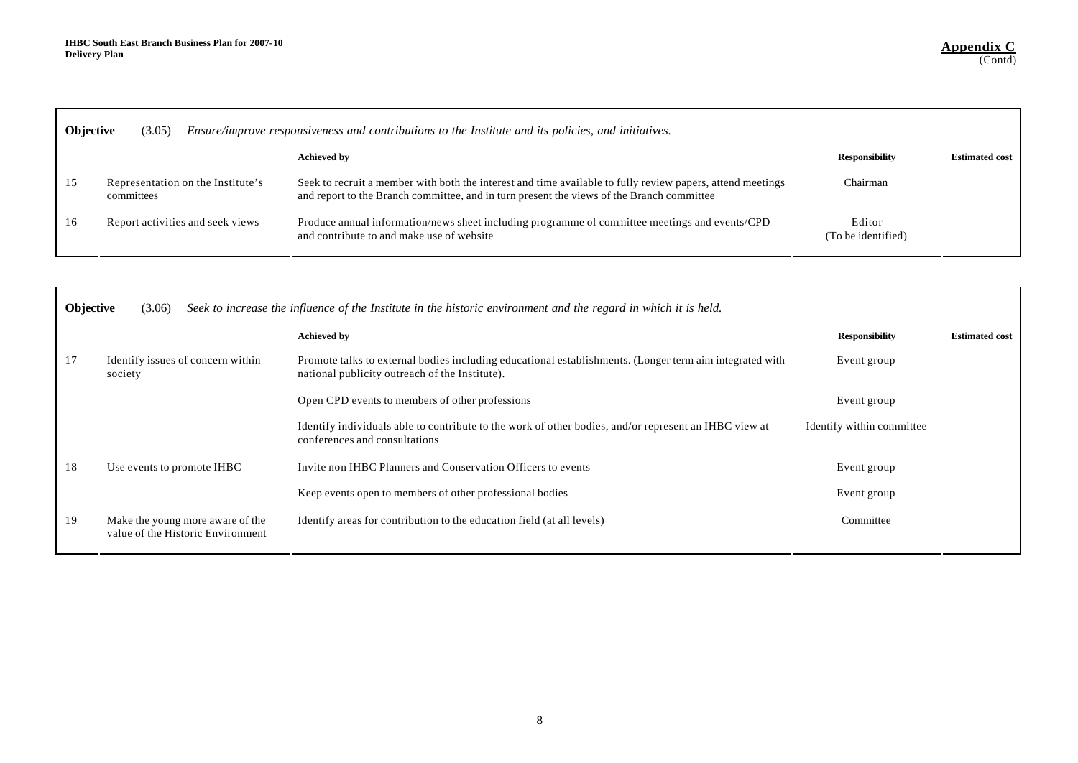|    | <b>Objective</b><br>Ensure/improve responsiveness and contributions to the Institute and its policies, and initiatives.<br>(3.05) |                                                                                                                                                                                                         |                              |                       |  |  |
|----|-----------------------------------------------------------------------------------------------------------------------------------|---------------------------------------------------------------------------------------------------------------------------------------------------------------------------------------------------------|------------------------------|-----------------------|--|--|
|    |                                                                                                                                   | <b>Achieved by</b>                                                                                                                                                                                      | <b>Responsibility</b>        | <b>Estimated cost</b> |  |  |
| 15 | Representation on the Institute's<br>committees                                                                                   | Seek to recruit a member with both the interest and time available to fully review papers, attend meetings<br>and report to the Branch committee, and in turn present the views of the Branch committee | Chairman                     |                       |  |  |
| 16 | Report activities and seek views                                                                                                  | Produce annual information/news sheet including programme of committee meetings and events/CPD<br>and contribute to and make use of website                                                             | Editor<br>(To be identified) |                       |  |  |

|    | Objective<br>Seek to increase the influence of the Institute in the historic environment and the regard in which it is held.<br>(3.06) |                                                                                                                                                           |                           |                       |  |
|----|----------------------------------------------------------------------------------------------------------------------------------------|-----------------------------------------------------------------------------------------------------------------------------------------------------------|---------------------------|-----------------------|--|
|    |                                                                                                                                        | <b>Achieved by</b>                                                                                                                                        | <b>Responsibility</b>     | <b>Estimated cost</b> |  |
| 17 | Identify issues of concern within<br>society                                                                                           | Promote talks to external bodies including educational establishments. (Longer term aim integrated with<br>national publicity outreach of the Institute). | Event group               |                       |  |
|    |                                                                                                                                        | Open CPD events to members of other professions                                                                                                           | Event group               |                       |  |
|    |                                                                                                                                        | Identify individuals able to contribute to the work of other bodies, and/or represent an IHBC view at<br>conferences and consultations                    | Identify within committee |                       |  |
| 18 | Use events to promote IHBC                                                                                                             | Invite non IHBC Planners and Conservation Officers to events                                                                                              | Event group               |                       |  |
|    |                                                                                                                                        | Keep events open to members of other professional bodies                                                                                                  | Event group               |                       |  |
| 19 | Make the young more aware of the<br>value of the Historic Environment                                                                  | Identify areas for contribution to the education field (at all levels)                                                                                    | Committee                 |                       |  |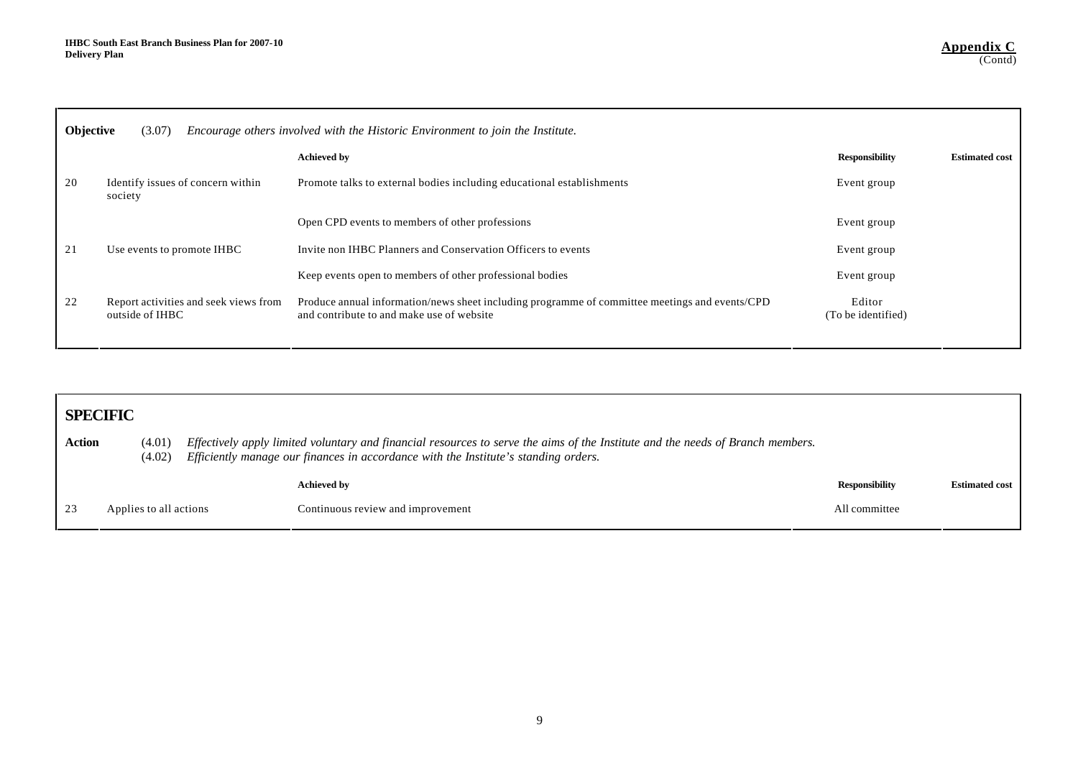|    | Objective<br>Encourage others involved with the Historic Environment to join the Institute.<br>(3.07) |                                                                                                                                             |                              |                       |  |  |
|----|-------------------------------------------------------------------------------------------------------|---------------------------------------------------------------------------------------------------------------------------------------------|------------------------------|-----------------------|--|--|
|    |                                                                                                       | <b>Achieved by</b>                                                                                                                          | <b>Responsibility</b>        | <b>Estimated cost</b> |  |  |
| 20 | Identify issues of concern within<br>society                                                          | Promote talks to external bodies including educational establishments                                                                       | Event group                  |                       |  |  |
|    |                                                                                                       | Open CPD events to members of other professions                                                                                             | Event group                  |                       |  |  |
| 21 | Use events to promote IHBC                                                                            | Invite non IHBC Planners and Conservation Officers to events                                                                                | Event group                  |                       |  |  |
|    |                                                                                                       | Keep events open to members of other professional bodies                                                                                    | Event group                  |                       |  |  |
| 22 | Report activities and seek views from<br>outside of IHBC                                              | Produce annual information/news sheet including programme of committee meetings and events/CPD<br>and contribute to and make use of website | Editor<br>(To be identified) |                       |  |  |

|        | <b>SPECIFIC</b>        |  |                                                                                                                                                                                                                        |                       |                       |
|--------|------------------------|--|------------------------------------------------------------------------------------------------------------------------------------------------------------------------------------------------------------------------|-----------------------|-----------------------|
| Action | (4.01)<br>(4.02)       |  | Effectively apply limited voluntary and financial resources to serve the aims of the Institute and the needs of Branch members.<br>Efficiently manage our finances in accordance with the Institute's standing orders. |                       |                       |
|        |                        |  | <b>Achieved by</b>                                                                                                                                                                                                     | <b>Responsibility</b> | <b>Estimated cost</b> |
| 23     | Applies to all actions |  | Continuous review and improvement                                                                                                                                                                                      | All committee         |                       |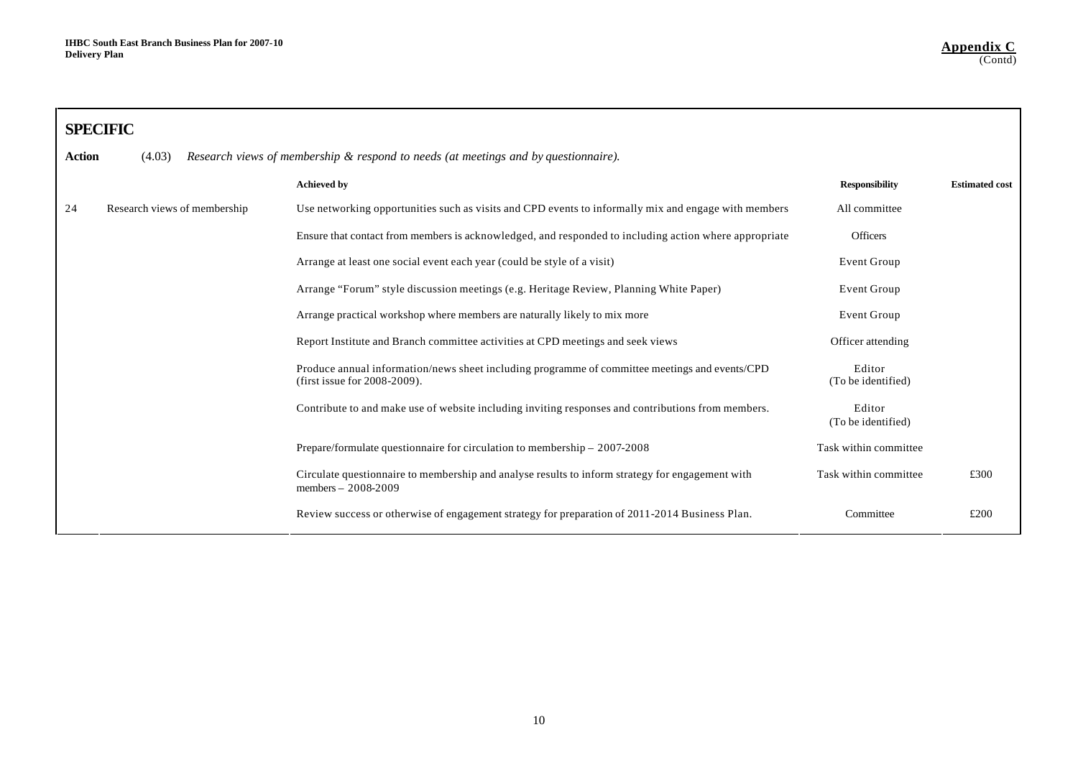|        | <b>SPECIFIC</b>              |                                                                                                                                |                              |                       |
|--------|------------------------------|--------------------------------------------------------------------------------------------------------------------------------|------------------------------|-----------------------|
| Action | (4.03)                       | Research views of membership & respond to needs (at meetings and by questionnaire).                                            |                              |                       |
|        |                              | <b>Achieved by</b>                                                                                                             | <b>Responsibility</b>        | <b>Estimated cost</b> |
| 24     | Research views of membership | Use networking opportunities such as visits and CPD events to informally mix and engage with members                           | All committee                |                       |
|        |                              | Ensure that contact from members is acknowledged, and responded to including action where appropriate                          | <b>Officers</b>              |                       |
|        |                              | Arrange at least one social event each year (could be style of a visit)                                                        | Event Group                  |                       |
|        |                              | Arrange "Forum" style discussion meetings (e.g. Heritage Review, Planning White Paper)                                         | Event Group                  |                       |
|        |                              | Arrange practical workshop where members are naturally likely to mix more                                                      | Event Group                  |                       |
|        |                              | Report Institute and Branch committee activities at CPD meetings and seek views                                                | Officer attending            |                       |
|        |                              | Produce annual information/news sheet including programme of committee meetings and events/CPD<br>(first issue for 2008-2009). | Editor<br>(To be identified) |                       |
|        |                              | Contribute to and make use of website including inviting responses and contributions from members.                             | Editor<br>(To be identified) |                       |
|        |                              | Prepare/formulate questionnaire for circulation to membership $-2007-2008$                                                     | Task within committee        |                       |
|        |                              | Circulate questionnaire to membership and analyse results to inform strategy for engagement with<br>members $-2008-2009$       | Task within committee        | £300                  |
|        |                              | Review success or otherwise of engagement strategy for preparation of 2011-2014 Business Plan.                                 | Committee                    | £200                  |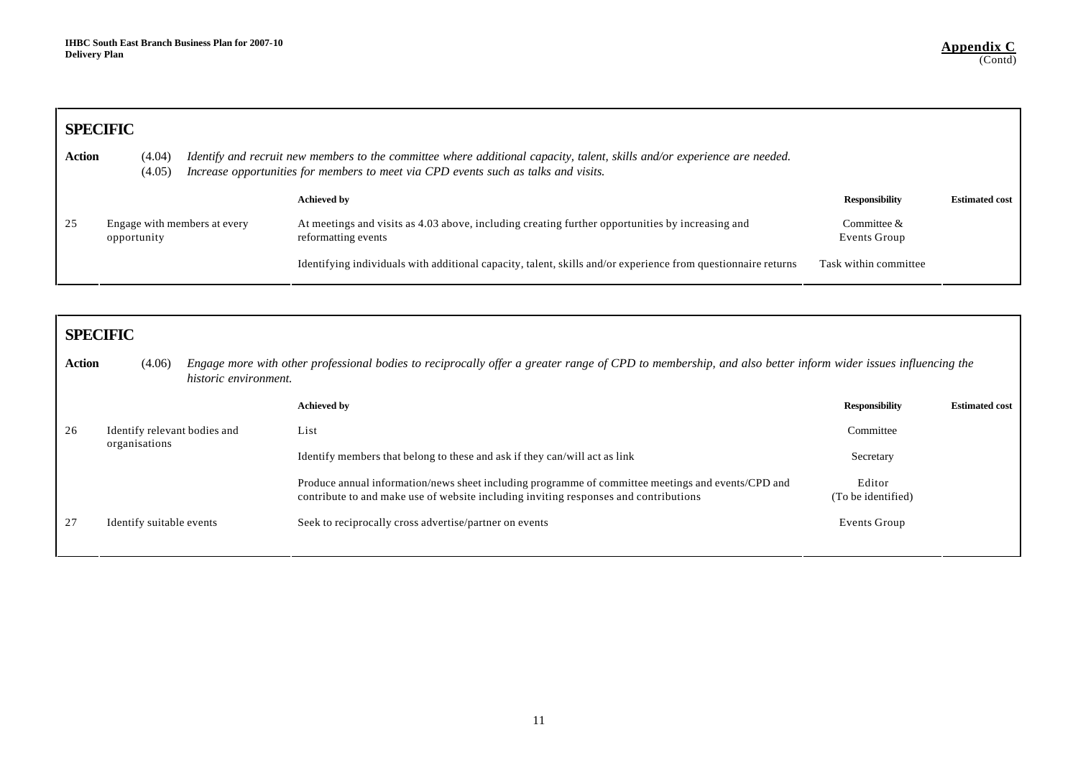|        | <b>SPECIFIC</b>                             |  |                                                                                                                                                                                                                  |                               |                       |  |
|--------|---------------------------------------------|--|------------------------------------------------------------------------------------------------------------------------------------------------------------------------------------------------------------------|-------------------------------|-----------------------|--|
| Action | (4.04)<br>(4.05)                            |  | Identify and recruit new members to the committee where additional capacity, talent, skills and/or experience are needed.<br>Increase opportunities for members to meet via CPD events such as talks and visits. |                               |                       |  |
|        |                                             |  | <b>Achieved by</b>                                                                                                                                                                                               | <b>Responsibility</b>         | <b>Estimated cost</b> |  |
| 25     | Engage with members at every<br>opportunity |  | At meetings and visits as 4.03 above, including creating further opportunities by increasing and<br>reformatting events                                                                                          | Committee $&$<br>Events Group |                       |  |
|        |                                             |  | Identifying individuals with additional capacity, talent, skills and/or experience from questionnaire returns                                                                                                    | Task within committee         |                       |  |

| <b>SPECIFIC</b> |                                 |                                                                                                                                                                                            |                              |                       |  |  |
|-----------------|---------------------------------|--------------------------------------------------------------------------------------------------------------------------------------------------------------------------------------------|------------------------------|-----------------------|--|--|
| <b>Action</b>   | (4.06)<br>historic environment. | Engage more with other professional bodies to reciprocally offer a greater range of CPD to membership, and also better inform wider issues influencing the                                 |                              |                       |  |  |
|                 |                                 | <b>Achieved by</b>                                                                                                                                                                         | <b>Responsibility</b>        | <b>Estimated cost</b> |  |  |
| 26              | Identify relevant bodies and    | List                                                                                                                                                                                       | Committee                    |                       |  |  |
|                 | organisations                   | Identify members that belong to these and ask if they can/will act as link                                                                                                                 | Secretary                    |                       |  |  |
|                 |                                 | Produce annual information/news sheet including programme of committee meetings and events/CPD and<br>contribute to and make use of website including inviting responses and contributions | Editor<br>(To be identified) |                       |  |  |
| 27              | Identify suitable events        | Seek to reciprocally cross advertise/partner on events                                                                                                                                     | Events Group                 |                       |  |  |